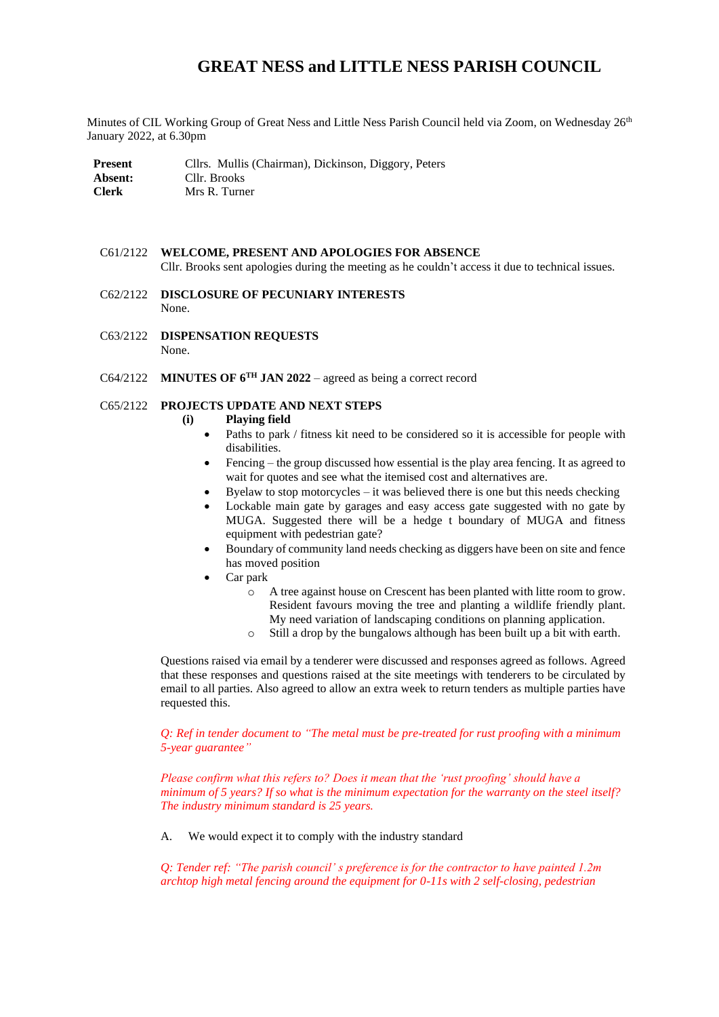# **GREAT NESS and LITTLE NESS PARISH COUNCIL**

Minutes of CIL Working Group of Great Ness and Little Ness Parish Council held via Zoom, on Wednesday 26<sup>th</sup> January 2022, at 6.30pm

| <b>Present</b> | Cllrs. Mullis (Chairman), Dickinson, Diggory, Peters |
|----------------|------------------------------------------------------|
| Absent:        | Cllr. Brooks                                         |
| <b>Clerk</b>   | Mrs R. Turner                                        |

#### C61/2122 **WELCOME, PRESENT AND APOLOGIES FOR ABSENCE** Cllr. Brooks sent apologies during the meeting as he couldn't access it due to technical issues.

- C62/2122 **DISCLOSURE OF PECUNIARY INTERESTS** None.
- C63/2122 **DISPENSATION REQUESTS** None.
- C64/2122 **MINUTES OF 6TH JAN 2022** agreed as being a correct record

## C65/2122 **PROJECTS UPDATE AND NEXT STEPS**

### **(i) Playing field**

- Paths to park / fitness kit need to be considered so it is accessible for people with disabilities.
- Fencing the group discussed how essential is the play area fencing. It as agreed to wait for quotes and see what the itemised cost and alternatives are.
- Byelaw to stop motorcycles  $-$  it was believed there is one but this needs checking
- Lockable main gate by garages and easy access gate suggested with no gate by MUGA. Suggested there will be a hedge t boundary of MUGA and fitness equipment with pedestrian gate?
- Boundary of community land needs checking as diggers have been on site and fence has moved position
- Car park
	- o A tree against house on Crescent has been planted with litte room to grow. Resident favours moving the tree and planting a wildlife friendly plant. My need variation of landscaping conditions on planning application.
	- o Still a drop by the bungalows although has been built up a bit with earth.

Questions raised via email by a tenderer were discussed and responses agreed as follows. Agreed that these responses and questions raised at the site meetings with tenderers to be circulated by email to all parties. Also agreed to allow an extra week to return tenders as multiple parties have requested this.

*Q: Ref in tender document to "The metal must be pre-treated for rust proofing with a minimum 5-year guarantee"*

*Please confirm what this refers to? Does it mean that the 'rust proofing' should have a minimum of 5 years? If so what is the minimum expectation for the warranty on the steel itself? The industry minimum standard is 25 years.*

A. We would expect it to comply with the industry standard

*Q: Tender ref: "The parish council' s preference is for the contractor to have painted 1.2m archtop high metal fencing around the equipment for 0-11s with 2 self-closing, pedestrian*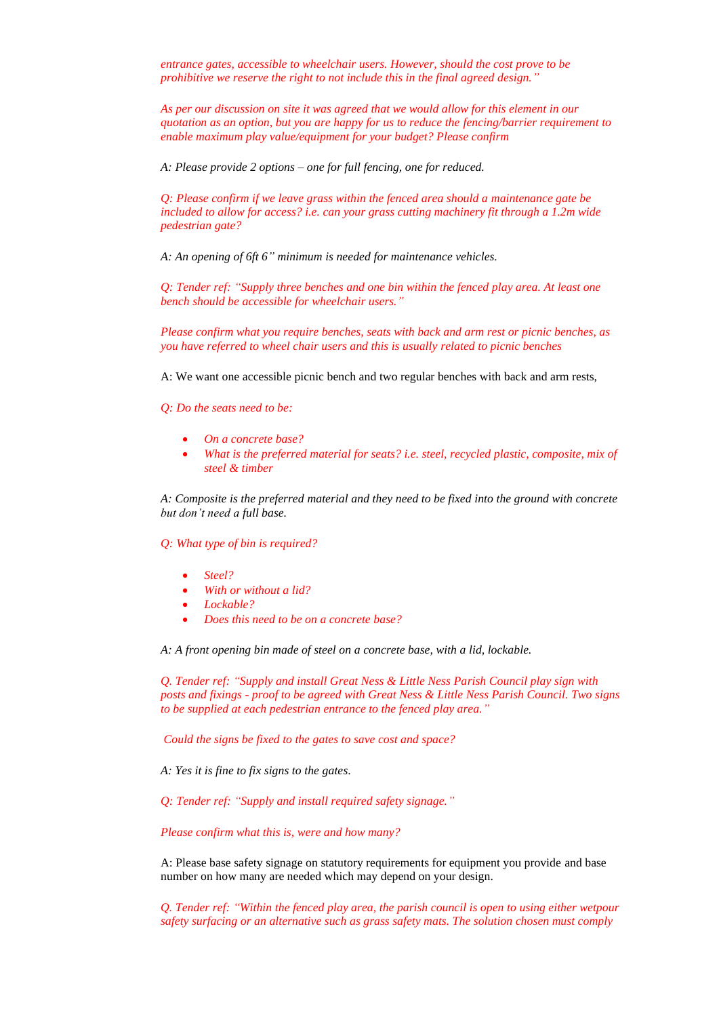*entrance gates, accessible to wheelchair users. However, should the cost prove to be prohibitive we reserve the right to not include this in the final agreed design."*

*As per our discussion on site it was agreed that we would allow for this element in our quotation as an option, but you are happy for us to reduce the fencing/barrier requirement to enable maximum play value/equipment for your budget? Please confirm* 

*A: Please provide 2 options – one for full fencing, one for reduced.*

*Q: Please confirm if we leave grass within the fenced area should a maintenance gate be included to allow for access? i.e. can your grass cutting machinery fit through a 1.2m wide pedestrian gate?* 

*A: An opening of 6ft 6" minimum is needed for maintenance vehicles.*

*Q: Tender ref: "Supply three benches and one bin within the fenced play area. At least one bench should be accessible for wheelchair users."*

*Please confirm what you require benches, seats with back and arm rest or picnic benches, as you have referred to wheel chair users and this is usually related to picnic benches*

A: We want one accessible picnic bench and two regular benches with back and arm rests,

*Q: Do the seats need to be:* 

- *On a concrete base?*
- *What is the preferred material for seats? i.e. steel, recycled plastic, composite, mix of steel & timber*

*A: Composite is the preferred material and they need to be fixed into the ground with concrete but don't need a full base.*

*Q: What type of bin is required?* 

- *Steel?*
- *With or without a lid?*
- *Lockable?*
- *Does this need to be on a concrete base?*

*A: A front opening bin made of steel on a concrete base, with a lid, lockable.* 

*Q. Tender ref: "Supply and install Great Ness & Little Ness Parish Council play sign with posts and fixings - proof to be agreed with Great Ness & Little Ness Parish Council. Two signs to be supplied at each pedestrian entrance to the fenced play area."*

*Could the signs be fixed to the gates to save cost and space?* 

*A: Yes it is fine to fix signs to the gates*.

*Q: Tender ref: "Supply and install required safety signage."* 

#### *Please confirm what this is, were and how many?*

A: Please base safety signage on statutory requirements for equipment you provide and base number on how many are needed which may depend on your design.

*Q. Tender ref: "Within the fenced play area, the parish council is open to using either wetpour safety surfacing or an alternative such as grass safety mats. The solution chosen must comply*